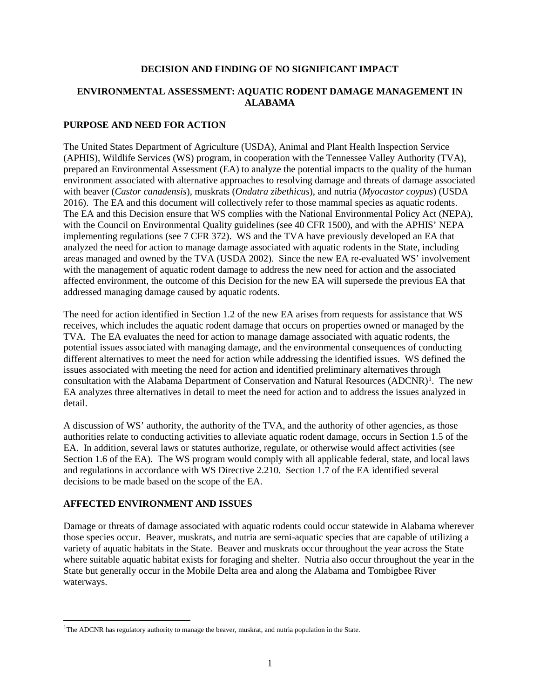#### **DECISION AND FINDING OF NO SIGNIFICANT IMPACT**

# **ENVIRONMENTAL ASSESSMENT: AQUATIC RODENT DAMAGE MANAGEMENT IN ALABAMA**

#### **PURPOSE AND NEED FOR ACTION**

The United States Department of Agriculture (USDA), Animal and Plant Health Inspection Service (APHIS), Wildlife Services (WS) program, in cooperation with the Tennessee Valley Authority (TVA), prepared an Environmental Assessment (EA) to analyze the potential impacts to the quality of the human environment associated with alternative approaches to resolving damage and threats of damage associated with beaver (*Castor canadensis*), muskrats (*Ondatra zibethicus*), and nutria (*Myocastor coypus*) (USDA 2016). The EA and this document will collectively refer to those mammal species as aquatic rodents. The EA and this Decision ensure that WS complies with the National Environmental Policy Act (NEPA), with the Council on Environmental Quality guidelines (see 40 CFR 1500), and with the APHIS' NEPA implementing regulations (see 7 CFR 372). WS and the TVA have previously developed an EA that analyzed the need for action to manage damage associated with aquatic rodents in the State, including areas managed and owned by the TVA (USDA 2002). Since the new EA re-evaluated WS' involvement with the management of aquatic rodent damage to address the new need for action and the associated affected environment, the outcome of this Decision for the new EA will supersede the previous EA that addressed managing damage caused by aquatic rodents.

The need for action identified in Section 1.2 of the new EA arises from requests for assistance that WS receives, which includes the aquatic rodent damage that occurs on properties owned or managed by the TVA. The EA evaluates the need for action to manage damage associated with aquatic rodents, the potential issues associated with managing damage, and the environmental consequences of conducting different alternatives to meet the need for action while addressing the identified issues. WS defined the issues associated with meeting the need for action and identified preliminary alternatives through consultation with the Alabama Department of Conservation and Natural Resources (ADCNR)<sup>[1](#page-0-0)</sup>. The new EA analyzes three alternatives in detail to meet the need for action and to address the issues analyzed in detail.

A discussion of WS' authority, the authority of the TVA, and the authority of other agencies, as those authorities relate to conducting activities to alleviate aquatic rodent damage, occurs in Section 1.5 of the EA. In addition, several laws or statutes authorize, regulate, or otherwise would affect activities (see Section 1.6 of the EA). The WS program would comply with all applicable federal, state, and local laws and regulations in accordance with WS Directive 2.210. Section 1.7 of the EA identified several decisions to be made based on the scope of the EA.

# **AFFECTED ENVIRONMENT AND ISSUES**

j

Damage or threats of damage associated with aquatic rodents could occur statewide in Alabama wherever those species occur. Beaver, muskrats, and nutria are semi-aquatic species that are capable of utilizing a variety of aquatic habitats in the State. Beaver and muskrats occur throughout the year across the State where suitable aquatic habitat exists for foraging and shelter. Nutria also occur throughout the year in the State but generally occur in the Mobile Delta area and along the Alabama and Tombigbee River waterways.

<span id="page-0-0"></span><sup>&</sup>lt;sup>1</sup>The ADCNR has regulatory authority to manage the beaver, muskrat, and nutria population in the State.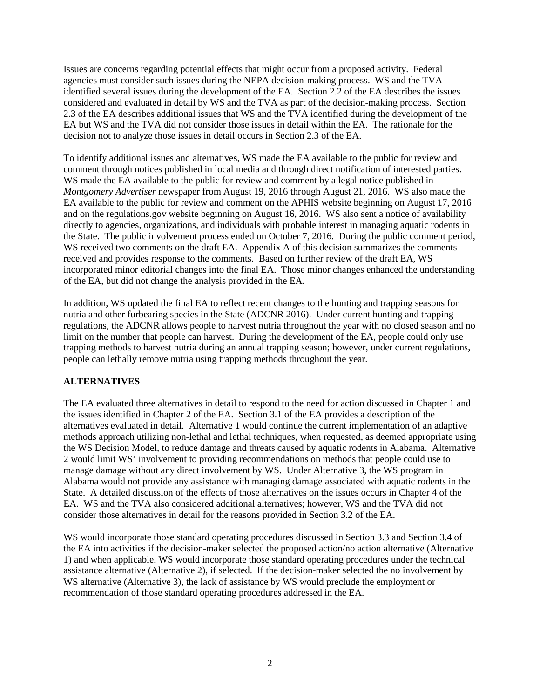Issues are concerns regarding potential effects that might occur from a proposed activity. Federal agencies must consider such issues during the NEPA decision-making process. WS and the TVA identified several issues during the development of the EA. Section 2.2 of the EA describes the issues considered and evaluated in detail by WS and the TVA as part of the decision-making process. Section 2.3 of the EA describes additional issues that WS and the TVA identified during the development of the EA but WS and the TVA did not consider those issues in detail within the EA. The rationale for the decision not to analyze those issues in detail occurs in Section 2.3 of the EA.

To identify additional issues and alternatives, WS made the EA available to the public for review and comment through notices published in local media and through direct notification of interested parties. WS made the EA available to the public for review and comment by a legal notice published in *Montgomery Advertiser* newspaper from August 19, 2016 through August 21, 2016. WS also made the EA available to the public for review and comment on the APHIS website beginning on August 17, 2016 and on the regulations.gov website beginning on August 16, 2016. WS also sent a notice of availability directly to agencies, organizations, and individuals with probable interest in managing aquatic rodents in the State. The public involvement process ended on October 7, 2016. During the public comment period, WS received two comments on the draft EA. Appendix A of this decision summarizes the comments received and provides response to the comments. Based on further review of the draft EA, WS incorporated minor editorial changes into the final EA. Those minor changes enhanced the understanding of the EA, but did not change the analysis provided in the EA.

In addition, WS updated the final EA to reflect recent changes to the hunting and trapping seasons for nutria and other furbearing species in the State (ADCNR 2016). Under current hunting and trapping regulations, the ADCNR allows people to harvest nutria throughout the year with no closed season and no limit on the number that people can harvest. During the development of the EA, people could only use trapping methods to harvest nutria during an annual trapping season; however, under current regulations, people can lethally remove nutria using trapping methods throughout the year.

# **ALTERNATIVES**

The EA evaluated three alternatives in detail to respond to the need for action discussed in Chapter 1 and the issues identified in Chapter 2 of the EA. Section 3.1 of the EA provides a description of the alternatives evaluated in detail. Alternative 1 would continue the current implementation of an adaptive methods approach utilizing non-lethal and lethal techniques, when requested, as deemed appropriate using the WS Decision Model, to reduce damage and threats caused by aquatic rodents in Alabama. Alternative 2 would limit WS' involvement to providing recommendations on methods that people could use to manage damage without any direct involvement by WS. Under Alternative 3, the WS program in Alabama would not provide any assistance with managing damage associated with aquatic rodents in the State. A detailed discussion of the effects of those alternatives on the issues occurs in Chapter 4 of the EA. WS and the TVA also considered additional alternatives; however, WS and the TVA did not consider those alternatives in detail for the reasons provided in Section 3.2 of the EA.

WS would incorporate those standard operating procedures discussed in Section 3.3 and Section 3.4 of the EA into activities if the decision-maker selected the proposed action/no action alternative (Alternative 1) and when applicable, WS would incorporate those standard operating procedures under the technical assistance alternative (Alternative 2), if selected. If the decision-maker selected the no involvement by WS alternative (Alternative 3), the lack of assistance by WS would preclude the employment or recommendation of those standard operating procedures addressed in the EA.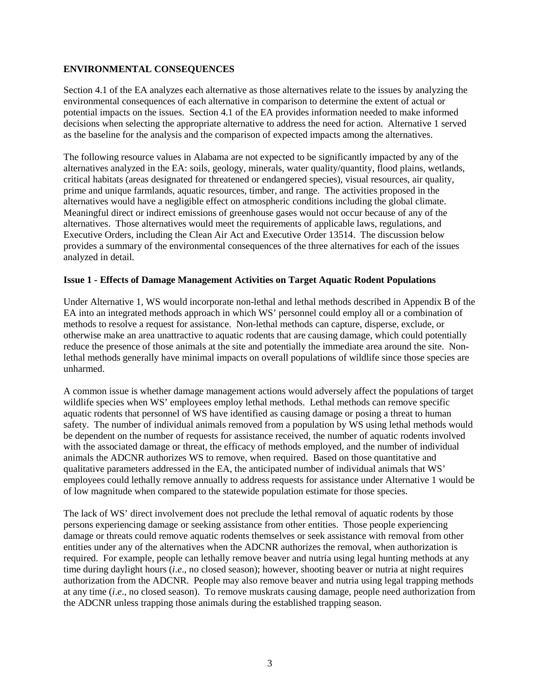# **ENVIRONMENTAL CONSEQUENCES**

Section 4.1 of the EA analyzes each alternative as those alternatives relate to the issues by analyzing the environmental consequences of each alternative in comparison to determine the extent of actual or potential impacts on the issues. Section 4.1 of the EA provides information needed to make informed decisions when selecting the appropriate alternative to address the need for action. Alternative 1 served as the baseline for the analysis and the comparison of expected impacts among the alternatives.

The following resource values in Alabama are not expected to be significantly impacted by any of the alternatives analyzed in the EA: soils, geology, minerals, water quality/quantity, flood plains, wetlands, critical habitats (areas designated for threatened or endangered species), visual resources, air quality, prime and unique farmlands, aquatic resources, timber, and range. The activities proposed in the alternatives would have a negligible effect on atmospheric conditions including the global climate. Meaningful direct or indirect emissions of greenhouse gases would not occur because of any of the alternatives. Those alternatives would meet the requirements of applicable laws, regulations, and Executive Orders, including the Clean Air Act and Executive Order 13514. The discussion below provides a summary of the environmental consequences of the three alternatives for each of the issues analyzed in detail.

# **Issue 1 - Effects of Damage Management Activities on Target Aquatic Rodent Populations**

Under Alternative 1, WS would incorporate non-lethal and lethal methods described in Appendix B of the EA into an integrated methods approach in which WS' personnel could employ all or a combination of methods to resolve a request for assistance. Non-lethal methods can capture, disperse, exclude, or otherwise make an area unattractive to aquatic rodents that are causing damage, which could potentially reduce the presence of those animals at the site and potentially the immediate area around the site. Nonlethal methods generally have minimal impacts on overall populations of wildlife since those species are unharmed.

A common issue is whether damage management actions would adversely affect the populations of target wildlife species when WS' employees employ lethal methods. Lethal methods can remove specific aquatic rodents that personnel of WS have identified as causing damage or posing a threat to human safety. The number of individual animals removed from a population by WS using lethal methods would be dependent on the number of requests for assistance received, the number of aquatic rodents involved with the associated damage or threat, the efficacy of methods employed, and the number of individual animals the ADCNR authorizes WS to remove, when required. Based on those quantitative and qualitative parameters addressed in the EA, the anticipated number of individual animals that WS' employees could lethally remove annually to address requests for assistance under Alternative 1 would be of low magnitude when compared to the statewide population estimate for those species.

The lack of WS' direct involvement does not preclude the lethal removal of aquatic rodents by those persons experiencing damage or seeking assistance from other entities. Those people experiencing damage or threats could remove aquatic rodents themselves or seek assistance with removal from other entities under any of the alternatives when the ADCNR authorizes the removal, when authorization is required. For example, people can lethally remove beaver and nutria using legal hunting methods at any time during daylight hours (*i*.*e*., no closed season); however, shooting beaver or nutria at night requires authorization from the ADCNR. People may also remove beaver and nutria using legal trapping methods at any time (*i*.*e*., no closed season). To remove muskrats causing damage, people need authorization from the ADCNR unless trapping those animals during the established trapping season.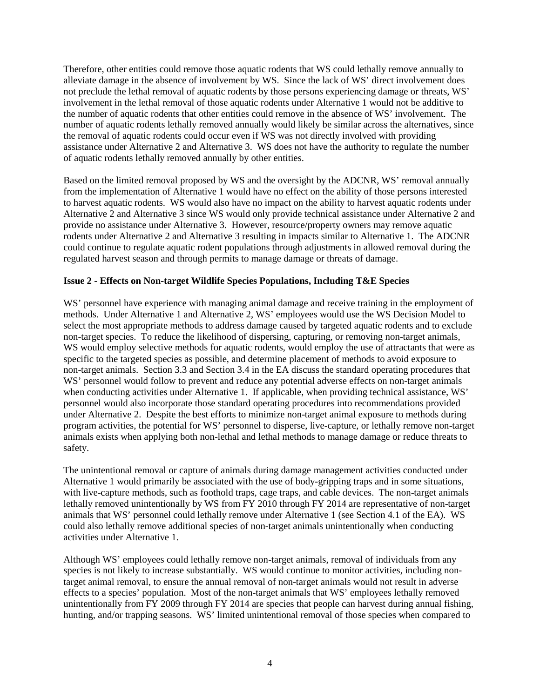Therefore, other entities could remove those aquatic rodents that WS could lethally remove annually to alleviate damage in the absence of involvement by WS. Since the lack of WS' direct involvement does not preclude the lethal removal of aquatic rodents by those persons experiencing damage or threats, WS' involvement in the lethal removal of those aquatic rodents under Alternative 1 would not be additive to the number of aquatic rodents that other entities could remove in the absence of WS' involvement. The number of aquatic rodents lethally removed annually would likely be similar across the alternatives, since the removal of aquatic rodents could occur even if WS was not directly involved with providing assistance under Alternative 2 and Alternative 3. WS does not have the authority to regulate the number of aquatic rodents lethally removed annually by other entities.

Based on the limited removal proposed by WS and the oversight by the ADCNR, WS' removal annually from the implementation of Alternative 1 would have no effect on the ability of those persons interested to harvest aquatic rodents. WS would also have no impact on the ability to harvest aquatic rodents under Alternative 2 and Alternative 3 since WS would only provide technical assistance under Alternative 2 and provide no assistance under Alternative 3. However, resource/property owners may remove aquatic rodents under Alternative 2 and Alternative 3 resulting in impacts similar to Alternative 1. The ADCNR could continue to regulate aquatic rodent populations through adjustments in allowed removal during the regulated harvest season and through permits to manage damage or threats of damage.

# **Issue 2 - Effects on Non-target Wildlife Species Populations, Including T&E Species**

WS' personnel have experience with managing animal damage and receive training in the employment of methods. Under Alternative 1 and Alternative 2, WS' employees would use the WS Decision Model to select the most appropriate methods to address damage caused by targeted aquatic rodents and to exclude non-target species. To reduce the likelihood of dispersing, capturing, or removing non-target animals, WS would employ selective methods for aquatic rodents, would employ the use of attractants that were as specific to the targeted species as possible, and determine placement of methods to avoid exposure to non-target animals. Section 3.3 and Section 3.4 in the EA discuss the standard operating procedures that WS' personnel would follow to prevent and reduce any potential adverse effects on non-target animals when conducting activities under Alternative 1. If applicable, when providing technical assistance, WS' personnel would also incorporate those standard operating procedures into recommendations provided under Alternative 2. Despite the best efforts to minimize non-target animal exposure to methods during program activities, the potential for WS' personnel to disperse, live-capture, or lethally remove non-target animals exists when applying both non-lethal and lethal methods to manage damage or reduce threats to safety.

The unintentional removal or capture of animals during damage management activities conducted under Alternative 1 would primarily be associated with the use of body-gripping traps and in some situations, with live-capture methods, such as foothold traps, cage traps, and cable devices. The non-target animals lethally removed unintentionally by WS from FY 2010 through FY 2014 are representative of non-target animals that WS' personnel could lethally remove under Alternative 1 (see Section 4.1 of the EA). WS could also lethally remove additional species of non-target animals unintentionally when conducting activities under Alternative 1.

Although WS' employees could lethally remove non-target animals, removal of individuals from any species is not likely to increase substantially. WS would continue to monitor activities, including nontarget animal removal, to ensure the annual removal of non-target animals would not result in adverse effects to a species' population. Most of the non-target animals that WS' employees lethally removed unintentionally from FY 2009 through FY 2014 are species that people can harvest during annual fishing, hunting, and/or trapping seasons. WS' limited unintentional removal of those species when compared to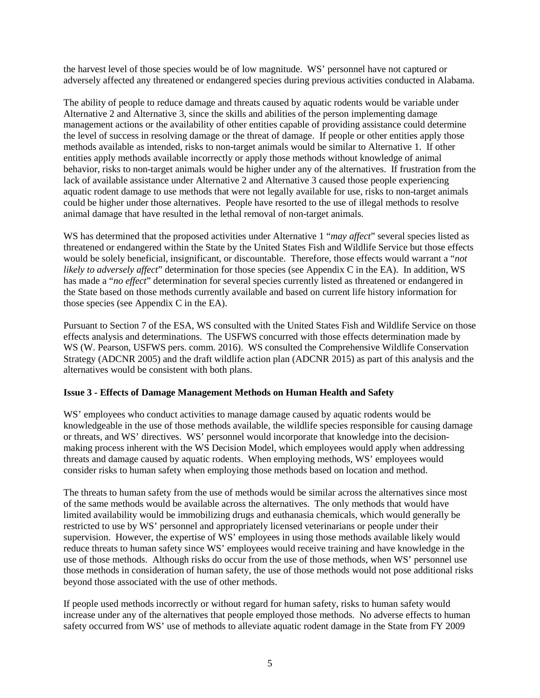the harvest level of those species would be of low magnitude. WS' personnel have not captured or adversely affected any threatened or endangered species during previous activities conducted in Alabama.

The ability of people to reduce damage and threats caused by aquatic rodents would be variable under Alternative 2 and Alternative 3, since the skills and abilities of the person implementing damage management actions or the availability of other entities capable of providing assistance could determine the level of success in resolving damage or the threat of damage. If people or other entities apply those methods available as intended, risks to non-target animals would be similar to Alternative 1. If other entities apply methods available incorrectly or apply those methods without knowledge of animal behavior, risks to non-target animals would be higher under any of the alternatives. If frustration from the lack of available assistance under Alternative 2 and Alternative 3 caused those people experiencing aquatic rodent damage to use methods that were not legally available for use, risks to non-target animals could be higher under those alternatives. People have resorted to the use of illegal methods to resolve animal damage that have resulted in the lethal removal of non-target animals.

WS has determined that the proposed activities under Alternative 1 "*may affect*" several species listed as threatened or endangered within the State by the United States Fish and Wildlife Service but those effects would be solely beneficial, insignificant, or discountable. Therefore, those effects would warrant a "*not likely to adversely affect*" determination for those species (see Appendix C in the EA). In addition, WS has made a "*no effect*" determination for several species currently listed as threatened or endangered in the State based on those methods currently available and based on current life history information for those species (see Appendix C in the EA).

Pursuant to Section 7 of the ESA, WS consulted with the United States Fish and Wildlife Service on those effects analysis and determinations. The USFWS concurred with those effects determination made by WS (W. Pearson, USFWS pers. comm. 2016). WS consulted the Comprehensive Wildlife Conservation Strategy (ADCNR 2005) and the draft wildlife action plan (ADCNR 2015) as part of this analysis and the alternatives would be consistent with both plans.

# **Issue 3 - Effects of Damage Management Methods on Human Health and Safety**

WS' employees who conduct activities to manage damage caused by aquatic rodents would be knowledgeable in the use of those methods available, the wildlife species responsible for causing damage or threats, and WS' directives. WS' personnel would incorporate that knowledge into the decisionmaking process inherent with the WS Decision Model, which employees would apply when addressing threats and damage caused by aquatic rodents. When employing methods, WS' employees would consider risks to human safety when employing those methods based on location and method.

The threats to human safety from the use of methods would be similar across the alternatives since most of the same methods would be available across the alternatives. The only methods that would have limited availability would be immobilizing drugs and euthanasia chemicals, which would generally be restricted to use by WS' personnel and appropriately licensed veterinarians or people under their supervision. However, the expertise of WS' employees in using those methods available likely would reduce threats to human safety since WS' employees would receive training and have knowledge in the use of those methods. Although risks do occur from the use of those methods, when WS' personnel use those methods in consideration of human safety, the use of those methods would not pose additional risks beyond those associated with the use of other methods.

If people used methods incorrectly or without regard for human safety, risks to human safety would increase under any of the alternatives that people employed those methods. No adverse effects to human safety occurred from WS' use of methods to alleviate aquatic rodent damage in the State from FY 2009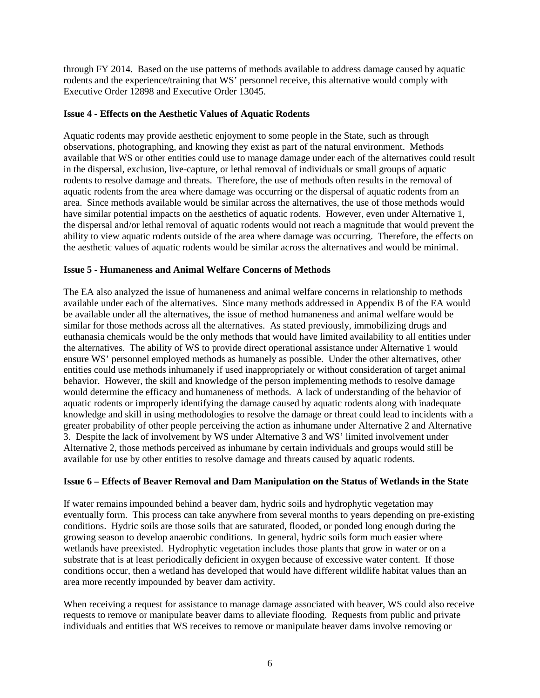through FY 2014. Based on the use patterns of methods available to address damage caused by aquatic rodents and the experience/training that WS' personnel receive, this alternative would comply with Executive Order 12898 and Executive Order 13045.

# **Issue 4 - Effects on the Aesthetic Values of Aquatic Rodents**

Aquatic rodents may provide aesthetic enjoyment to some people in the State, such as through observations, photographing, and knowing they exist as part of the natural environment. Methods available that WS or other entities could use to manage damage under each of the alternatives could result in the dispersal, exclusion, live-capture, or lethal removal of individuals or small groups of aquatic rodents to resolve damage and threats. Therefore, the use of methods often results in the removal of aquatic rodents from the area where damage was occurring or the dispersal of aquatic rodents from an area. Since methods available would be similar across the alternatives, the use of those methods would have similar potential impacts on the aesthetics of aquatic rodents. However, even under Alternative 1, the dispersal and/or lethal removal of aquatic rodents would not reach a magnitude that would prevent the ability to view aquatic rodents outside of the area where damage was occurring. Therefore, the effects on the aesthetic values of aquatic rodents would be similar across the alternatives and would be minimal.

# **Issue 5 - Humaneness and Animal Welfare Concerns of Methods**

The EA also analyzed the issue of humaneness and animal welfare concerns in relationship to methods available under each of the alternatives. Since many methods addressed in Appendix B of the EA would be available under all the alternatives, the issue of method humaneness and animal welfare would be similar for those methods across all the alternatives. As stated previously, immobilizing drugs and euthanasia chemicals would be the only methods that would have limited availability to all entities under the alternatives. The ability of WS to provide direct operational assistance under Alternative 1 would ensure WS' personnel employed methods as humanely as possible. Under the other alternatives, other entities could use methods inhumanely if used inappropriately or without consideration of target animal behavior. However, the skill and knowledge of the person implementing methods to resolve damage would determine the efficacy and humaneness of methods. A lack of understanding of the behavior of aquatic rodents or improperly identifying the damage caused by aquatic rodents along with inadequate knowledge and skill in using methodologies to resolve the damage or threat could lead to incidents with a greater probability of other people perceiving the action as inhumane under Alternative 2 and Alternative 3. Despite the lack of involvement by WS under Alternative 3 and WS' limited involvement under Alternative 2, those methods perceived as inhumane by certain individuals and groups would still be available for use by other entities to resolve damage and threats caused by aquatic rodents.

# **Issue 6 – Effects of Beaver Removal and Dam Manipulation on the Status of Wetlands in the State**

If water remains impounded behind a beaver dam, hydric soils and hydrophytic vegetation may eventually form. This process can take anywhere from several months to years depending on pre-existing conditions. Hydric soils are those soils that are saturated, flooded, or ponded long enough during the growing season to develop anaerobic conditions. In general, hydric soils form much easier where wetlands have preexisted. Hydrophytic vegetation includes those plants that grow in water or on a substrate that is at least periodically deficient in oxygen because of excessive water content. If those conditions occur, then a wetland has developed that would have different wildlife habitat values than an area more recently impounded by beaver dam activity.

When receiving a request for assistance to manage damage associated with beaver, WS could also receive requests to remove or manipulate beaver dams to alleviate flooding. Requests from public and private individuals and entities that WS receives to remove or manipulate beaver dams involve removing or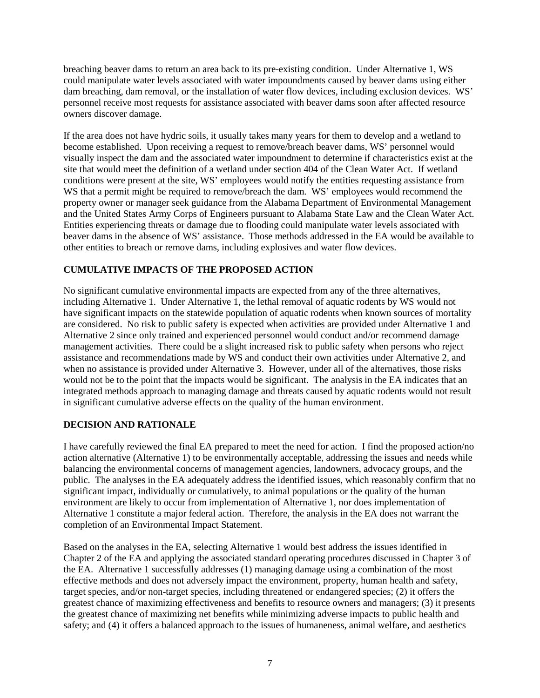breaching beaver dams to return an area back to its pre-existing condition. Under Alternative 1, WS could manipulate water levels associated with water impoundments caused by beaver dams using either dam breaching, dam removal, or the installation of water flow devices, including exclusion devices. WS' personnel receive most requests for assistance associated with beaver dams soon after affected resource owners discover damage.

If the area does not have hydric soils, it usually takes many years for them to develop and a wetland to become established. Upon receiving a request to remove/breach beaver dams, WS' personnel would visually inspect the dam and the associated water impoundment to determine if characteristics exist at the site that would meet the definition of a wetland under section 404 of the Clean Water Act. If wetland conditions were present at the site, WS' employees would notify the entities requesting assistance from WS that a permit might be required to remove/breach the dam. WS' employees would recommend the property owner or manager seek guidance from the Alabama Department of Environmental Management and the United States Army Corps of Engineers pursuant to Alabama State Law and the Clean Water Act. Entities experiencing threats or damage due to flooding could manipulate water levels associated with beaver dams in the absence of WS' assistance. Those methods addressed in the EA would be available to other entities to breach or remove dams, including explosives and water flow devices.

# **CUMULATIVE IMPACTS OF THE PROPOSED ACTION**

No significant cumulative environmental impacts are expected from any of the three alternatives, including Alternative 1. Under Alternative 1, the lethal removal of aquatic rodents by WS would not have significant impacts on the statewide population of aquatic rodents when known sources of mortality are considered. No risk to public safety is expected when activities are provided under Alternative 1 and Alternative 2 since only trained and experienced personnel would conduct and/or recommend damage management activities. There could be a slight increased risk to public safety when persons who reject assistance and recommendations made by WS and conduct their own activities under Alternative 2, and when no assistance is provided under Alternative 3. However, under all of the alternatives, those risks would not be to the point that the impacts would be significant. The analysis in the EA indicates that an integrated methods approach to managing damage and threats caused by aquatic rodents would not result in significant cumulative adverse effects on the quality of the human environment.

# **DECISION AND RATIONALE**

I have carefully reviewed the final EA prepared to meet the need for action. I find the proposed action/no action alternative (Alternative 1) to be environmentally acceptable, addressing the issues and needs while balancing the environmental concerns of management agencies, landowners, advocacy groups, and the public. The analyses in the EA adequately address the identified issues, which reasonably confirm that no significant impact, individually or cumulatively, to animal populations or the quality of the human environment are likely to occur from implementation of Alternative 1, nor does implementation of Alternative 1 constitute a major federal action. Therefore, the analysis in the EA does not warrant the completion of an Environmental Impact Statement.

Based on the analyses in the EA, selecting Alternative 1 would best address the issues identified in Chapter 2 of the EA and applying the associated standard operating procedures discussed in Chapter 3 of the EA. Alternative 1 successfully addresses (1) managing damage using a combination of the most effective methods and does not adversely impact the environment, property, human health and safety, target species, and/or non-target species, including threatened or endangered species; (2) it offers the greatest chance of maximizing effectiveness and benefits to resource owners and managers; (3) it presents the greatest chance of maximizing net benefits while minimizing adverse impacts to public health and safety; and (4) it offers a balanced approach to the issues of humaneness, animal welfare, and aesthetics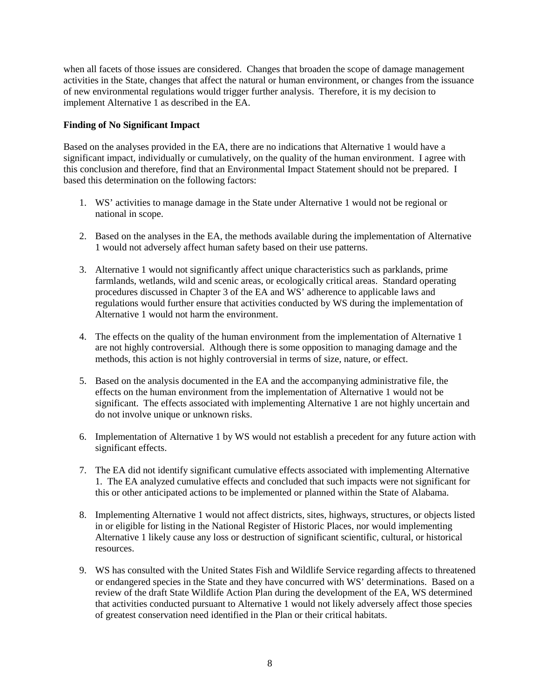when all facets of those issues are considered. Changes that broaden the scope of damage management activities in the State, changes that affect the natural or human environment, or changes from the issuance of new environmental regulations would trigger further analysis. Therefore, it is my decision to implement Alternative 1 as described in the EA.

# **Finding of No Significant Impact**

Based on the analyses provided in the EA, there are no indications that Alternative 1 would have a significant impact, individually or cumulatively, on the quality of the human environment. I agree with this conclusion and therefore, find that an Environmental Impact Statement should not be prepared. I based this determination on the following factors:

- 1. WS' activities to manage damage in the State under Alternative 1 would not be regional or national in scope.
- 2. Based on the analyses in the EA, the methods available during the implementation of Alternative 1 would not adversely affect human safety based on their use patterns.
- 3. Alternative 1 would not significantly affect unique characteristics such as parklands, prime farmlands, wetlands, wild and scenic areas, or ecologically critical areas. Standard operating procedures discussed in Chapter 3 of the EA and WS' adherence to applicable laws and regulations would further ensure that activities conducted by WS during the implementation of Alternative 1 would not harm the environment.
- 4. The effects on the quality of the human environment from the implementation of Alternative 1 are not highly controversial. Although there is some opposition to managing damage and the methods, this action is not highly controversial in terms of size, nature, or effect.
- 5. Based on the analysis documented in the EA and the accompanying administrative file, the effects on the human environment from the implementation of Alternative 1 would not be significant. The effects associated with implementing Alternative 1 are not highly uncertain and do not involve unique or unknown risks.
- 6. Implementation of Alternative 1 by WS would not establish a precedent for any future action with significant effects.
- 7. The EA did not identify significant cumulative effects associated with implementing Alternative 1. The EA analyzed cumulative effects and concluded that such impacts were not significant for this or other anticipated actions to be implemented or planned within the State of Alabama.
- 8. Implementing Alternative 1 would not affect districts, sites, highways, structures, or objects listed in or eligible for listing in the National Register of Historic Places, nor would implementing Alternative 1 likely cause any loss or destruction of significant scientific, cultural, or historical resources.
- 9. WS has consulted with the United States Fish and Wildlife Service regarding affects to threatened or endangered species in the State and they have concurred with WS' determinations. Based on a review of the draft State Wildlife Action Plan during the development of the EA, WS determined that activities conducted pursuant to Alternative 1 would not likely adversely affect those species of greatest conservation need identified in the Plan or their critical habitats.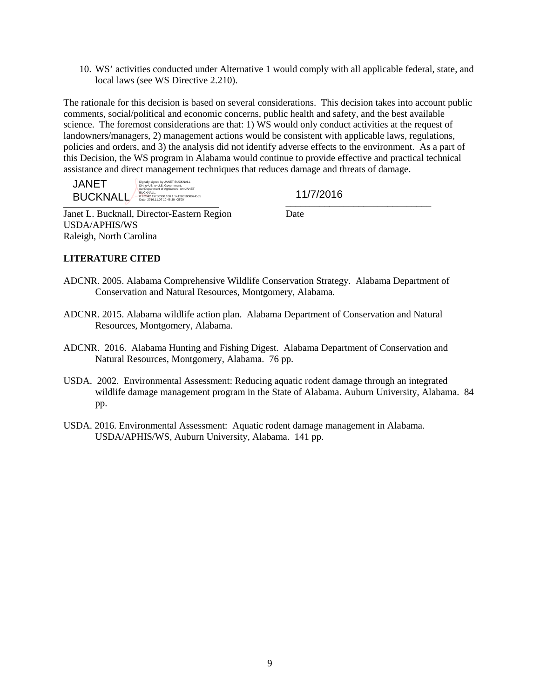10. WS' activities conducted under Alternative 1 would comply with all applicable federal, state, and local laws (see WS Directive 2.210).

The rationale for this decision is based on several considerations. This decision takes into account public comments, social/political and economic concerns, public health and safety, and the best available science. The foremost considerations are that: 1) WS would only conduct activities at the request of landowners/managers, 2) management actions would be consistent with applicable laws, regulations, policies and orders, and 3) the analysis did not identify adverse effects to the environment. As a part of this Decision, the WS program in Alabama would continue to provide effective and practical technical assistance and direct management techniques that reduces damage and threats of damage.

 $\text{BUCKNALL}$   $\rightarrow$   $\frac{0.3792}{0.842 \times 2016 \times 1.07 \times 0.48 \times 0.0600074555}}$  11///2016 JANET Digitally signed by JANET BUCKNALL<br>DN: c=US. o=U S. Gnuemment DN: c=US, o=U.S. Government, .<br>al-Department of Agriculture, cn=JANET<br>Date: 2016.11.07 10:48:30 -05'00' 1000074555<br>Date: 2016.11.07 10:48:30 -05'00' 11000074555 .

Janet L. Bucknall, Director-Eastern Region Date USDA/APHIS/WS Raleigh, North Carolina

# **LITERATURE CITED**

- ADCNR. 2005. Alabama Comprehensive Wildlife Conservation Strategy. Alabama Department of Conservation and Natural Resources, Montgomery, Alabama.
- ADCNR. 2015. Alabama wildlife action plan. Alabama Department of Conservation and Natural Resources, Montgomery, Alabama.
- ADCNR. 2016. Alabama Hunting and Fishing Digest. Alabama Department of Conservation and Natural Resources, Montgomery, Alabama. 76 pp.
- USDA. 2002. Environmental Assessment: Reducing aquatic rodent damage through an integrated wildlife damage management program in the State of Alabama. Auburn University, Alabama. 84 pp.
- USDA. 2016. Environmental Assessment: Aquatic rodent damage management in Alabama. USDA/APHIS/WS, Auburn University, Alabama. 141 pp.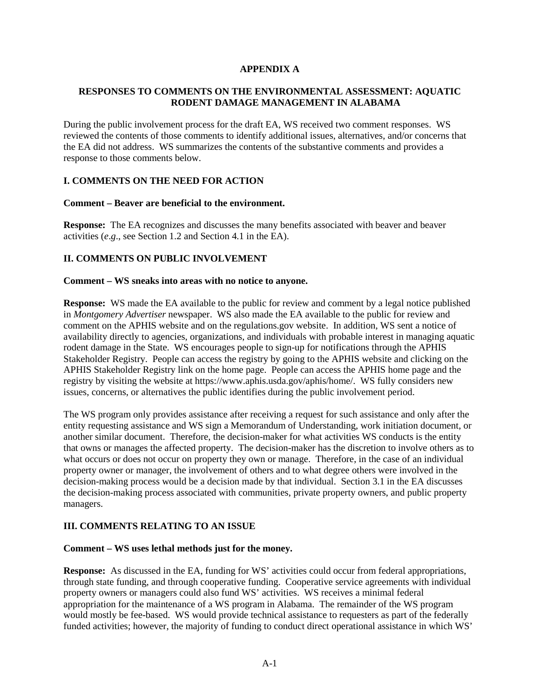# **APPENDIX A**

# **RESPONSES TO COMMENTS ON THE ENVIRONMENTAL ASSESSMENT: AQUATIC RODENT DAMAGE MANAGEMENT IN ALABAMA**

During the public involvement process for the draft EA, WS received two comment responses. WS reviewed the contents of those comments to identify additional issues, alternatives, and/or concerns that the EA did not address. WS summarizes the contents of the substantive comments and provides a response to those comments below.

# **I. COMMENTS ON THE NEED FOR ACTION**

#### **Comment – Beaver are beneficial to the environment.**

**Response:** The EA recognizes and discusses the many benefits associated with beaver and beaver activities (*e*.*g*., see Section 1.2 and Section 4.1 in the EA).

# **II. COMMENTS ON PUBLIC INVOLVEMENT**

#### **Comment – WS sneaks into areas with no notice to anyone.**

**Response:** WS made the EA available to the public for review and comment by a legal notice published in *Montgomery Advertiser* newspaper. WS also made the EA available to the public for review and comment on the APHIS website and on the regulations.gov website. In addition, WS sent a notice of availability directly to agencies, organizations, and individuals with probable interest in managing aquatic rodent damage in the State. WS encourages people to sign-up for notifications through the APHIS Stakeholder Registry. People can access the registry by going to the APHIS website and clicking on the APHIS Stakeholder Registry link on the home page. People can access the APHIS home page and the registry by visiting the website at https://www.aphis.usda.gov/aphis/home/. WS fully considers new issues, concerns, or alternatives the public identifies during the public involvement period.

The WS program only provides assistance after receiving a request for such assistance and only after the entity requesting assistance and WS sign a Memorandum of Understanding, work initiation document, or another similar document. Therefore, the decision-maker for what activities WS conducts is the entity that owns or manages the affected property. The decision-maker has the discretion to involve others as to what occurs or does not occur on property they own or manage. Therefore, in the case of an individual property owner or manager, the involvement of others and to what degree others were involved in the decision-making process would be a decision made by that individual. Section 3.1 in the EA discusses the decision-making process associated with communities, private property owners, and public property managers.

# **III. COMMENTS RELATING TO AN ISSUE**

#### **Comment – WS uses lethal methods just for the money.**

**Response:** As discussed in the EA, funding for WS' activities could occur from federal appropriations, through state funding, and through cooperative funding. Cooperative service agreements with individual property owners or managers could also fund WS' activities. WS receives a minimal federal appropriation for the maintenance of a WS program in Alabama. The remainder of the WS program would mostly be fee-based. WS would provide technical assistance to requesters as part of the federally funded activities; however, the majority of funding to conduct direct operational assistance in which WS'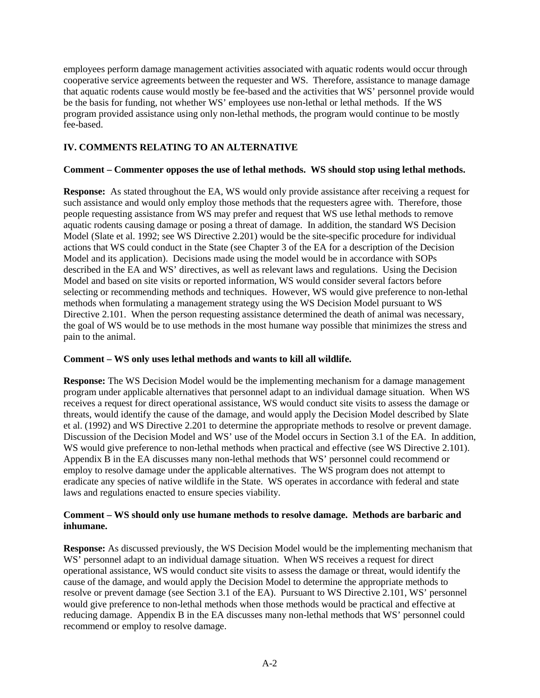employees perform damage management activities associated with aquatic rodents would occur through cooperative service agreements between the requester and WS. Therefore, assistance to manage damage that aquatic rodents cause would mostly be fee-based and the activities that WS' personnel provide would be the basis for funding, not whether WS' employees use non-lethal or lethal methods. If the WS program provided assistance using only non-lethal methods, the program would continue to be mostly fee-based.

# **IV. COMMENTS RELATING TO AN ALTERNATIVE**

# **Comment – Commenter opposes the use of lethal methods. WS should stop using lethal methods.**

**Response:** As stated throughout the EA, WS would only provide assistance after receiving a request for such assistance and would only employ those methods that the requesters agree with. Therefore, those people requesting assistance from WS may prefer and request that WS use lethal methods to remove aquatic rodents causing damage or posing a threat of damage. In addition, the standard WS Decision Model (Slate et al. 1992; see WS Directive 2.201) would be the site-specific procedure for individual actions that WS could conduct in the State (see Chapter 3 of the EA for a description of the Decision Model and its application). Decisions made using the model would be in accordance with SOPs described in the EA and WS' directives, as well as relevant laws and regulations. Using the Decision Model and based on site visits or reported information, WS would consider several factors before selecting or recommending methods and techniques. However, WS would give preference to non-lethal methods when formulating a management strategy using the WS Decision Model pursuant to WS Directive 2.101. When the person requesting assistance determined the death of animal was necessary, the goal of WS would be to use methods in the most humane way possible that minimizes the stress and pain to the animal.

# **Comment – WS only uses lethal methods and wants to kill all wildlife.**

**Response:** The WS Decision Model would be the implementing mechanism for a damage management program under applicable alternatives that personnel adapt to an individual damage situation. When WS receives a request for direct operational assistance, WS would conduct site visits to assess the damage or threats, would identify the cause of the damage, and would apply the Decision Model described by Slate et al. (1992) and WS Directive 2.201 to determine the appropriate methods to resolve or prevent damage. Discussion of the Decision Model and WS' use of the Model occurs in Section 3.1 of the EA. In addition, WS would give preference to non-lethal methods when practical and effective (see WS Directive 2.101). Appendix B in the EA discusses many non-lethal methods that WS' personnel could recommend or employ to resolve damage under the applicable alternatives. The WS program does not attempt to eradicate any species of native wildlife in the State. WS operates in accordance with federal and state laws and regulations enacted to ensure species viability.

# **Comment – WS should only use humane methods to resolve damage. Methods are barbaric and inhumane.**

**Response:** As discussed previously, the WS Decision Model would be the implementing mechanism that WS' personnel adapt to an individual damage situation. When WS receives a request for direct operational assistance, WS would conduct site visits to assess the damage or threat, would identify the cause of the damage, and would apply the Decision Model to determine the appropriate methods to resolve or prevent damage (see Section 3.1 of the EA). Pursuant to WS Directive 2.101, WS' personnel would give preference to non-lethal methods when those methods would be practical and effective at reducing damage. Appendix B in the EA discusses many non-lethal methods that WS' personnel could recommend or employ to resolve damage.